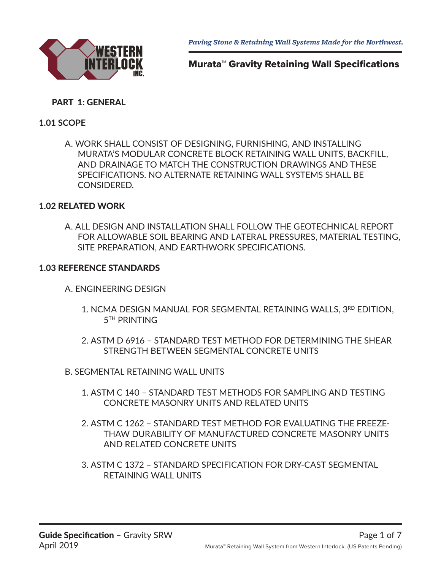

# Murata™ Gravity Retaining Wall Specifications

# PART 1: GENERAL

## **1.01 SCOPE**

A. WORK SHALL CONSIST OF DESIGNING, FURNISHING, AND INSTALLING MURATA'S MODULAR CONCRETE BLOCK RETAINING WALL UNITS, BACKFILL, AND DRAINAGE TO MATCH THE CONSTRUCTION DRAWINGS AND THESE SPECIFICATIONS. NO ALTERNATE RETAINING WALL SYSTEMS SHALL BE CONSIDERED.

### **1.02** RELATED WORK

A. ALL DESIGN AND INSTALLATION SHALL FOLLOW THE GEOTECHNICAL REPORT FOR ALLOWABLE SOIL BEARING AND LATERAL PRESSURES, MATERIAL TESTING, SITE PREPARATION, AND EARTHWORK SPECIFICATIONS.

### **1.03** REFERENCE STANDARDS

- A. ENGINEERING DESIGN
	- 1. NCMA DESIGN MANUAL FOR SEGMENTAL RETAINING WALLS, 3RD EDITION, **5<sup>TH</sup> PRINTING**
	- 2. ASTM D 6916 STANDARD TEST METHOD FOR DETERMINING THE SHEAR STRENGTH BETWEEN SEGMENTAL CONCRETE UNITS
- B. SEGMENTAL RETAINING WALL UNITS
	- 1. ASTM C 140 STANDARD TEST METHODS FOR SAMPLING AND TESTING CONCRETE MASONRY UNITS AND RELATED UNITS
	- 2. ASTM C 1262 STANDARD TEST METHOD FOR EVALUATING THE FREEZE-THAW DURABILITY OF MANUFACTURED CONCRETE MASONRY UNITS AND RELATED CONCRETE UNITS
	- 3. ASTM C 1372 STANDARD SPECIFICATION FOR DRY-CAST SEGMENTAL RETAINING WALL UNITS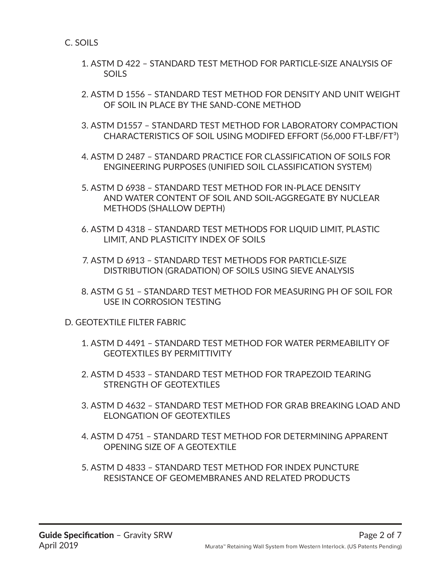C. SOILS

- 1. ASTM D 422 STANDARD TEST METHOD FOR PARTICLE-SIZE ANALYSIS OF SOILS
- 2. ASTM D 1556 STANDARD TEST METHOD FOR DENSITY AND UNIT WEIGHT OF SOIL IN PLACE BY THE SAND-CONE METHOD
- 3. ASTM D1557 STANDARD TEST METHOD FOR LABORATORY COMPACTION CHARACTERISTICS OF SOIL USING MODIFED EFFORT (56,000 FT-LBF/FT³)
- 4. ASTM D 2487 STANDARD PRACTICE FOR CLASSIFICATION OF SOILS FOR ENGINEERING PURPOSES (UNIFIED SOIL CLASSIFICATION SYSTEM)
- 5. ASTM D 6938 STANDARD TEST METHOD FOR IN-PLACE DENSITY AND WATER CONTENT OF SOIL AND SOIL-AGGREGATE BY NUCLEAR METHODS (SHALLOW DEPTH)
- 6. ASTM D 4318 STANDARD TEST METHODS FOR LIQUID LIMIT, PLASTIC LIMIT, AND PLASTICITY INDEX OF SOILS
- 7. ASTM D 6913 STANDARD TEST METHODS FOR PARTICLE-SIZE DISTRIBUTION (GRADATION) OF SOILS USING SIEVE ANALYSIS
- 8. ASTM G 51 STANDARD TEST METHOD FOR MEASURING PH OF SOIL FOR USE IN CORROSION TESTING

D. GEOTEXTILE FILTER FABRIC

- 1. ASTM D 4491 STANDARD TEST METHOD FOR WATER PERMEABILITY OF GEOTEXTILES BY PERMITTIVITY
- 2. ASTM D 4533 STANDARD TEST METHOD FOR TRAPEZOID TEARING STRENGTH OF GEOTEXTILES
- 3. ASTM D 4632 STANDARD TEST METHOD FOR GRAB BREAKING LOAD AND ELONGATION OF GEOTEXTILES
- 4. ASTM D 4751 STANDARD TEST METHOD FOR DETERMINING APPARENT OPENING SIZE OF A GEOTEXTILE
- 5. ASTM D 4833 STANDARD TEST METHOD FOR INDEX PUNCTURE RESISTANCE OF GEOMEMBRANES AND RELATED PRODUCTS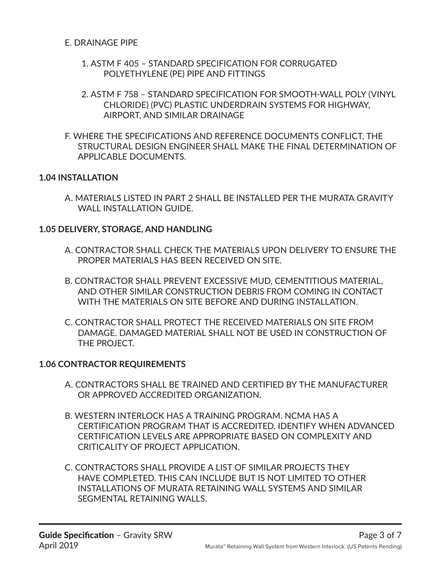- 1. ASTM F 405 STANDARD SPECIFICATION FOR CORRUGATED POLYETHYLENE (PE) PIPE AND FITTINGS
- 2. ASTM F 758 STANDARD SPECIFICATION FOR SMOOTH-WALL POLY (VINYL CHLORIDE) (PVC) PLASTIC UNDERDRAIN SYSTEMS FOR HIGHWAY, AIRPORT, AND SIMILAR DRAINAGE
- F. WHERE THE SPECIFICATIONS AND REFERENCE DOCUMENTS CONFLICT, THE STRUCTURAL DESIGN ENGINEER SHALL MAKE THE FINAL DETERMINATION OF APPLICABLE DOCUMENTS.

### **1.04 INSTALLATION**

A. MATERIALS LISTED IN PART 2 SHALL BE INSTALLED PER THE MURATA GRAVITY WALL INSTALLATION GUIDE.

### **1.05 DELIVERY, STORAGE, AND HANDLING**

- A. CONTRACTOR SHALL CHECK THE MATERIALS UPON DELIVERY TO ENSURE THE PROPER MATERIALS HAS BEEN RECEIVED ON SITE.
- B. CONTRACTOR SHALL PREVENT EXCESSIVE MUD, CEMENTITIOUS MATERIAL, AND OTHER SIMILAR CONSTRUCTION DEBRIS FROM COMING IN CONTACT WITH THE MATERIALS ON SITE BEFORE AND DURING INSTALLATION.
- C. CONTRACTOR SHALL PROTECT THE RECEIVED MATERIALS ON SITE FROM DAMAGE. DAMAGED MATERIAL SHALL NOT BE USED IN CONSTRUCTION OF THE PROJECT.

# **1.06 CONTRACTOR REQUIREMENTS**

- A. CONTRACTORS SHALL BE TRAINED AND CERTIFIED BY THE MANUFACTURER OR APPROVED ACCREDITED ORGANIZATION.
- B. WESTERN INTERLOCK HAS A TRAINING PROGRAM. NCMA HAS A CERTIFICATION PROGRAM THAT IS ACCREDITED. IDENTIFY WHEN ADVANCED CERTIFICATION LEVELS ARE APPROPRIATE BASED ON COMPLEXITY AND CRITICALITY OF PROJECT APPLICATION.
- C. CONTRACTORS SHALL PROVIDE A LIST OF SIMILAR PROJECTS THEY HAVE COMPLETED. THIS CAN INCLUDE BUT IS NOT LIMITED TO OTHER INSTALLATIONS OF MURATA RETAINING WALL SYSTEMS AND SIMILAR SEGMENTAL RETAINING WALLS.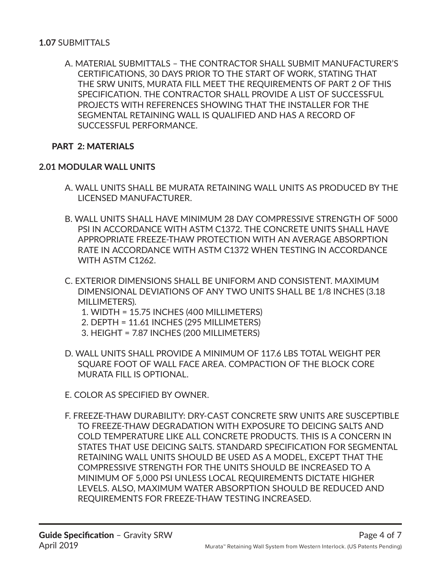A. MATERIAL SUBMITTALS – THE CONTRACTOR SHALL SUBMIT MANUFACTURER'S CERTIFICATIONS, 30 DAYS PRIOR TO THE START OF WORK, STATING THAT THE SRW UNITS, MURATA FILL MEET THE REQUIREMENTS OF PART 2 OF THIS SPECIFICATION. THE CONTRACTOR SHALL PROVIDE A LIST OF SUCCESSFUL PROJECTS WITH REFERENCES SHOWING THAT THE INSTALLER FOR THE SEGMENTAL RETAINING WALL IS QUALIFIED AND HAS A RECORD OF SUCCESSFUL PERFORMANCE.

# PART 2: MATERIALS

#### **2.01 MODULAR WALL UNITS**

- A. WALL UNITS SHALL BE MURATA RETAINING WALL UNITS AS PRODUCED BY THE LICENSED MANUFACTURER.
- B. WALL UNITS SHALL HAVE MINIMUM 28 DAY COMPRESSIVE STRENGTH OF 5000 PSI IN ACCORDANCE WITH ASTM C1372. THE CONCRETE UNITS SHALL HAVE APPROPRIATE FREEZE-THAW PROTECTION WITH AN AVERAGE ABSORPTION RATE IN ACCORDANCE WITH ASTM C1372 WHEN TESTING IN ACCORDANCE WITH ASTM C1262.
- C. EXTERIOR DIMENSIONS SHALL BE UNIFORM AND CONSISTENT. MAXIMUM DIMENSIONAL DEVIATIONS OF ANY TWO UNITS SHALL BE 1/8 INCHES (3.18 MILLIMETERS).
	- 1. WIDTH = 15.75 INCHES (400 MILLIMETERS)
	- 2. DEPTH = 11.61 INCHES (295 MILLIMETERS)
	- 3. HEIGHT = 7.87 INCHES (200 MILLIMETERS)
- D. WALL UNITS SHALL PROVIDE A MINIMUM OF 117.6 LBS TOTAL WEIGHT PER SQUARE FOOT OF WALL FACE AREA. COMPACTION OF THE BLOCK CORE MURATA FILL IS OPTIONAL.
- E. COLOR AS SPECIFIED BY OWNER.
- F. FREEZE-THAW DURABILITY: DRY-CAST CONCRETE SRW UNITS ARE SUSCEPTIBLE TO FREEZE-THAW DEGRADATION WITH EXPOSURE TO DEICING SALTS AND COLD TEMPERATURE LIKE ALL CONCRETE PRODUCTS. THIS IS A CONCERN IN STATES THAT USE DEICING SALTS. STANDARD SPECIFICATION FOR SEGMENTAL RETAINING WALL UNITS SHOULD BE USED AS A MODEL, EXCEPT THAT THE COMPRESSIVE STRENGTH FOR THE UNITS SHOULD BE INCREASED TO A MINIMUM OF 5,000 PSI UNLESS LOCAL REQUIREMENTS DICTATE HIGHER LEVELS. ALSO, MAXIMUM WATER ABSORPTION SHOULD BE REDUCED AND REQUIREMENTS FOR FREEZE-THAW TESTING INCREASED.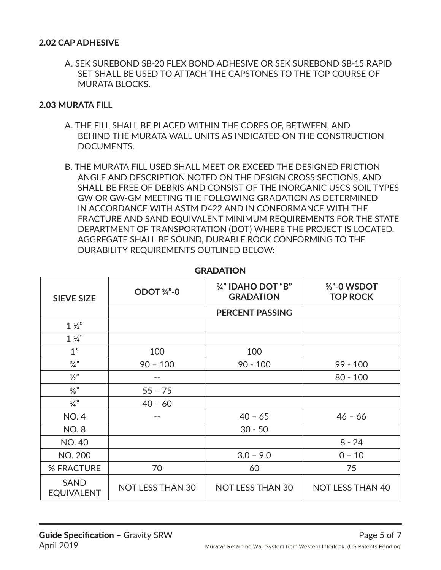#### **2.02 CAP ADHESIVE**

A. SEK SUREBOND SB-20 FLEX BOND ADHESIVE OR SEK SUREBOND SB-15 RAPID SET SHALL BE USED TO ATTACH THE CAPSTONES TO THE TOP COURSE OF MURATA BLOCKS.

#### **2.03 MURATA FILL**

- A. THE FILL SHALL BE PLACED WITHIN THE CORES OF, BETWEEN, AND BEHIND THE MURATA WALL UNITS AS INDICATED ON THE CONSTRUCTION DOCUMENTS.
- B. THE MURATA FILL USED SHALL MEET OR EXCEED THE DESIGNED FRICTION ANGLE AND DESCRIPTION NOTED ON THE DESIGN CROSS SECTIONS, AND SHALL BE FREE OF DEBRIS AND CONSIST OF THE INORGANIC USCS SOIL TYPES GW OR GW-GM MEETING THE FOLLOWING GRADATION AS DETERMINED IN ACCORDANCE WITH ASTM D422 AND IN CONFORMANCE WITH THE FRACTURE AND SAND EQUIVALENT MINIMUM REQUIREMENTS FOR THE STATE DEPARTMENT OF TRANSPORTATION (DOT) WHERE THE PROJECT IS LOCATED. AGGREGATE SHALL BE SOUND, DURABLE ROCK CONFORMING TO THE DURABILITY REQUIREMENTS OUTLINED BELOW:

| <b>SIEVE SIZE</b>                | ODOT 34"-0              | 3/4" IDAHO DOT "B"<br><b>GRADATION</b> | %"-0 WSDOT<br><b>TOP ROCK</b> |  |
|----------------------------------|-------------------------|----------------------------------------|-------------------------------|--|
|                                  | <b>PERCENT PASSING</b>  |                                        |                               |  |
| $1\frac{1}{2}$                   |                         |                                        |                               |  |
| $1\frac{1}{4}$                   |                         |                                        |                               |  |
| 1"                               | 100                     | 100                                    |                               |  |
| $\frac{3}{4}$ "                  | $90 - 100$              | $90 - 100$                             | $99 - 100$                    |  |
| $\frac{1}{2}$                    |                         |                                        | $80 - 100$                    |  |
| $\frac{3}{8}$ "                  | $55 - 75$               |                                        |                               |  |
| $\frac{1}{4}$                    | $40 - 60$               |                                        |                               |  |
| <b>NO.4</b>                      | --                      | $40 - 65$                              | $46 - 66$                     |  |
| <b>NO.8</b>                      |                         | $30 - 50$                              |                               |  |
| <b>NO. 40</b>                    |                         |                                        | $8 - 24$                      |  |
| <b>NO. 200</b>                   |                         | $3.0 - 9.0$                            | $0 - 10$                      |  |
| % FRACTURE                       | 70                      | 60                                     | 75                            |  |
| <b>SAND</b><br><b>EQUIVALENT</b> | <b>NOT LESS THAN 30</b> | <b>NOT LESS THAN 30</b>                | <b>NOT LESS THAN 40</b>       |  |

#### **GRADATION**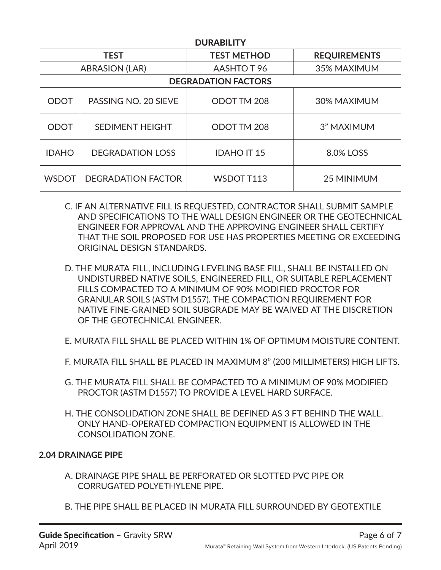| <b>DUKABILI I</b>          |                           |                    |                     |  |  |
|----------------------------|---------------------------|--------------------|---------------------|--|--|
| <b>TEST</b>                |                           | <b>TEST METHOD</b> | <b>REQUIREMENTS</b> |  |  |
| <b>ABRASION (LAR)</b>      |                           | AASHTO T 96        | 35% MAXIMUM         |  |  |
| <b>DEGRADATION FACTORS</b> |                           |                    |                     |  |  |
| <b>ODOT</b>                | PASSING NO. 20 SIEVE      | ODOT TM 208        | 30% MAXIMUM         |  |  |
| <b>ODOT</b>                | <b>SEDIMENT HEIGHT</b>    | ODOT TM 208        | 3" MAXIMUM          |  |  |
| <b>IDAHO</b>               | <b>DEGRADATION LOSS</b>   | <b>IDAHO IT 15</b> | 8.0% LOSS           |  |  |
| <b>WSDOT</b>               | <b>DEGRADATION FACTOR</b> | WSDOT T113         | 25 MINIMUM          |  |  |

DURABILITY

- C. IF AN ALTERNATIVE FILL IS REQUESTED, CONTRACTOR SHALL SUBMIT SAMPLE AND SPECIFICATIONS TO THE WALL DESIGN ENGINEER OR THE GEOTECHNICAL ENGINEER FOR APPROVAL AND THE APPROVING ENGINEER SHALL CERTIFY THAT THE SOIL PROPOSED FOR USE HAS PROPERTIES MEETING OR EXCEEDING ORIGINAL DESIGN STANDARDS.
- D. THE MURATA FILL, INCLUDING LEVELING BASE FILL, SHALL BE INSTALLED ON UNDISTURBED NATIVE SOILS, ENGINEERED FILL, OR SUITABLE REPLACEMENT FILLS COMPACTED TO A MINIMUM OF 90% MODIFIED PROCTOR FOR GRANULAR SOILS (ASTM D1557). THE COMPACTION REQUIREMENT FOR NATIVE FINE-GRAINED SOIL SUBGRADE MAY BE WAIVED AT THE DISCRETION OF THE GEOTECHNICAL ENGINEER.
- E. MURATA FILL SHALL BE PLACED WITHIN 1% OF OPTIMUM MOISTURE CONTENT.
- F. MURATA FILL SHALL BE PLACED IN MAXIMUM 8" (200 MILLIMETERS) HIGH LIFTS.
- G. THE MURATA FILL SHALL BE COMPACTED TO A MINIMUM OF 90% MODIFIED PROCTOR (ASTM D1557) TO PROVIDE A LEVEL HARD SURFACE.
- H. THE CONSOLIDATION ZONE SHALL BE DEFINED AS 3 FT BEHIND THE WALL. ONLY HAND-OPERATED COMPACTION EQUIPMENT IS ALLOWED IN THE CONSOLIDATION ZONE.

# **2.04 DRAINAGE PIPE**

- A. DRAINAGE PIPE SHALL BE PERFORATED OR SLOTTED PVC PIPE OR CORRUGATED POLYETHYLENE PIPE.
- B. THE PIPE SHALL BE PLACED IN MURATA FILL SURROUNDED BY GEOTEXTILE